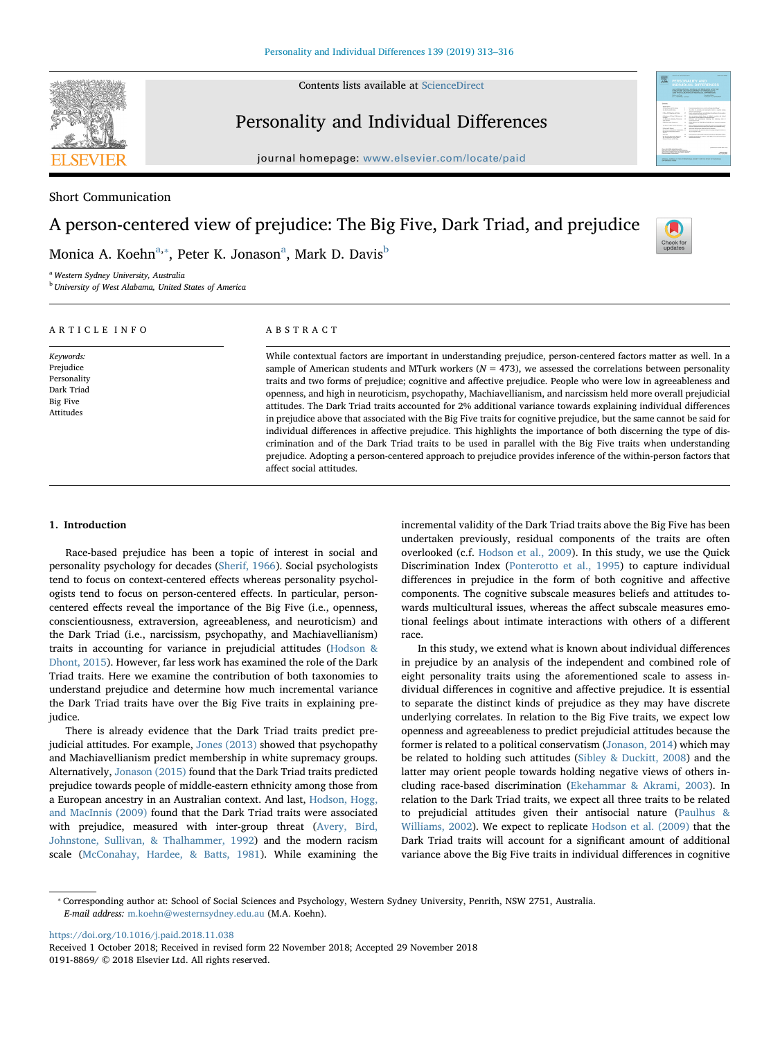

Contents lists available at [ScienceDirect](http://www.sciencedirect.com/science/journal/01918869)

# Personality and Individual Differences

journal homepage: [www.elsevier.com/locate/paid](https://www.elsevier.com/locate/paid)

Short Communication

A person-centered view of prejudice: The Big Five, Dark Triad, and prejudice

Monica A. Koehn<sup>[a,](#page-0-0)</sup>\*, Peter K. Jon[a](#page-0-0)son<sup>a</sup>, Mark D. Davis<sup>[b](#page-0-2)</sup>

<span id="page-0-0"></span><sup>a</sup> Western Sydney University, Australia

<span id="page-0-2"></span>**b** University of West Alabama, United States of America

## ARTICLE INFO

Keywords: Prejudice Personality Dark Triad Big Five Attitudes

ABSTRACT

While contextual factors are important in understanding prejudice, person-centered factors matter as well. In a sample of American students and MTurk workers ( $N = 473$ ), we assessed the correlations between personality traits and two forms of prejudice; cognitive and affective prejudice. People who were low in agreeableness and openness, and high in neuroticism, psychopathy, Machiavellianism, and narcissism held more overall prejudicial attitudes. The Dark Triad traits accounted for 2% additional variance towards explaining individual differences in prejudice above that associated with the Big Five traits for cognitive prejudice, but the same cannot be said for individual differences in affective prejudice. This highlights the importance of both discerning the type of discrimination and of the Dark Triad traits to be used in parallel with the Big Five traits when understanding prejudice. Adopting a person-centered approach to prejudice provides inference of the within-person factors that affect social attitudes.

#### 1. Introduction

Race-based prejudice has been a topic of interest in social and personality psychology for decades [\(Sherif, 1966\)](#page-3-0). Social psychologists tend to focus on context-centered effects whereas personality psychologists tend to focus on person-centered effects. In particular, personcentered effects reveal the importance of the Big Five (i.e., openness, conscientiousness, extraversion, agreeableness, and neuroticism) and the Dark Triad (i.e., narcissism, psychopathy, and Machiavellianism) traits in accounting for variance in prejudicial attitudes [\(Hodson &](#page-3-1) [Dhont, 2015](#page-3-1)). However, far less work has examined the role of the Dark Triad traits. Here we examine the contribution of both taxonomies to understand prejudice and determine how much incremental variance the Dark Triad traits have over the Big Five traits in explaining prejudice.

There is already evidence that the Dark Triad traits predict prejudicial attitudes. For example, [Jones \(2013\)](#page-3-2) showed that psychopathy and Machiavellianism predict membership in white supremacy groups. Alternatively, [Jonason \(2015\)](#page-3-3) found that the Dark Triad traits predicted prejudice towards people of middle-eastern ethnicity among those from a European ancestry in an Australian context. And last, [Hodson, Hogg,](#page-3-4) [and MacInnis \(2009\)](#page-3-4) found that the Dark Triad traits were associated with prejudice, measured with inter-group threat ([Avery, Bird,](#page-2-0) [Johnstone, Sullivan, & Thalhammer, 1992](#page-2-0)) and the modern racism scale [\(McConahay, Hardee, & Batts, 1981\)](#page-3-5). While examining the incremental validity of the Dark Triad traits above the Big Five has been undertaken previously, residual components of the traits are often overlooked (c.f. [Hodson et al., 2009\)](#page-3-4). In this study, we use the Quick Discrimination Index [\(Ponterotto et al., 1995](#page-3-6)) to capture individual differences in prejudice in the form of both cognitive and affective components. The cognitive subscale measures beliefs and attitudes towards multicultural issues, whereas the affect subscale measures emotional feelings about intimate interactions with others of a different race.

Check for<br>updates

In this study, we extend what is known about individual differences in prejudice by an analysis of the independent and combined role of eight personality traits using the aforementioned scale to assess individual differences in cognitive and affective prejudice. It is essential to separate the distinct kinds of prejudice as they may have discrete underlying correlates. In relation to the Big Five traits, we expect low openness and agreeableness to predict prejudicial attitudes because the former is related to a political conservatism [\(Jonason, 2014](#page-3-7)) which may be related to holding such attitudes ([Sibley & Duckitt, 2008](#page-3-8)) and the latter may orient people towards holding negative views of others including race-based discrimination ([Ekehammar & Akrami, 2003](#page-2-1)). In relation to the Dark Triad traits, we expect all three traits to be related to prejudicial attitudes given their antisocial nature [\(Paulhus &](#page-3-9) [Williams, 2002\)](#page-3-9). We expect to replicate [Hodson et al. \(2009\)](#page-3-4) that the Dark Triad traits will account for a significant amount of additional variance above the Big Five traits in individual differences in cognitive

<https://doi.org/10.1016/j.paid.2018.11.038>

<span id="page-0-1"></span><sup>⁎</sup> Corresponding author at: School of Social Sciences and Psychology, Western Sydney University, Penrith, NSW 2751, Australia. E-mail address: [m.koehn@westernsydney.edu.au](mailto:m.koehn@westernsydney.edu.au) (M.A. Koehn).

Received 1 October 2018; Received in revised form 22 November 2018; Accepted 29 November 2018 0191-8869/ © 2018 Elsevier Ltd. All rights reserved.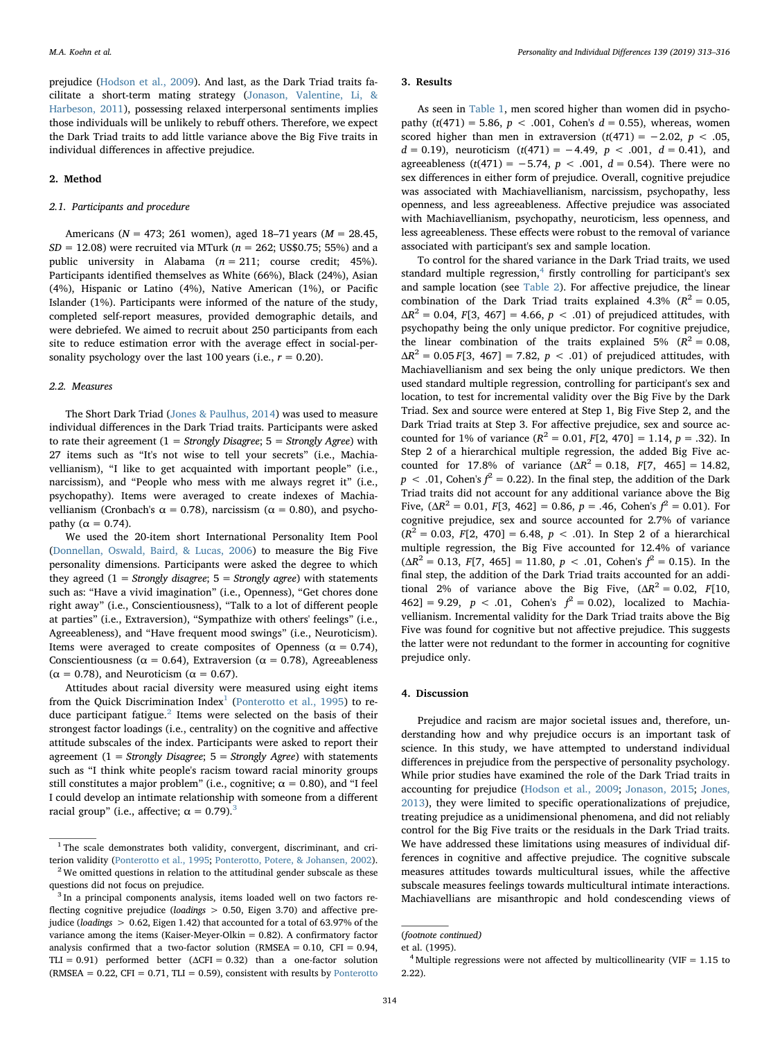prejudice ([Hodson et al., 2009](#page-3-4)). And last, as the Dark Triad traits facilitate a short-term mating strategy ([Jonason, Valentine, Li, &](#page-3-10) [Harbeson, 2011\)](#page-3-10), possessing relaxed interpersonal sentiments implies those individuals will be unlikely to rebuff others. Therefore, we expect the Dark Triad traits to add little variance above the Big Five traits in individual differences in affective prejudice.

#### 2. Method

#### 2.1. Participants and procedure

Americans ( $N = 473$ ; 261 women), aged 18–71 years ( $M = 28.45$ ,  $SD = 12.08$ ) were recruited via MTurk ( $n = 262$ ; US\$0.75; 55%) and a public university in Alabama ( $n = 211$ ; course credit; 45%). Participants identified themselves as White (66%), Black (24%), Asian (4%), Hispanic or Latino (4%), Native American (1%), or Pacific Islander (1%). Participants were informed of the nature of the study, completed self-report measures, provided demographic details, and were debriefed. We aimed to recruit about 250 participants from each site to reduce estimation error with the average effect in social-personality psychology over the last 100 years (i.e.,  $r = 0.20$ ).

#### 2.2. Measures

The Short Dark Triad [\(Jones & Paulhus, 2014](#page-3-11)) was used to measure individual differences in the Dark Triad traits. Participants were asked to rate their agreement ( $1 =$  Strongly Disagree;  $5 =$  Strongly Agree) with 27 items such as "It's not wise to tell your secrets" (i.e., Machiavellianism), "I like to get acquainted with important people" (i.e., narcissism), and "People who mess with me always regret it" (i.e., psychopathy). Items were averaged to create indexes of Machiavellianism (Cronbach's  $\alpha = 0.78$ ), narcissism ( $\alpha = 0.80$ ), and psychopathy ( $\alpha = 0.74$ ).

We used the 20-item short International Personality Item Pool ([Donnellan, Oswald, Baird, & Lucas, 2006\)](#page-2-2) to measure the Big Five personality dimensions. Participants were asked the degree to which they agreed  $(1 =$  Strongly disagree;  $5 =$  Strongly agree) with statements such as: "Have a vivid imagination" (i.e., Openness), "Get chores done right away" (i.e., Conscientiousness), "Talk to a lot of different people at parties" (i.e., Extraversion), "Sympathize with others' feelings" (i.e., Agreeableness), and "Have frequent mood swings" (i.e., Neuroticism). Items were averaged to create composites of Openness ( $\alpha = 0.74$ ), Conscientiousness ( $\alpha$  = 0.64), Extraversion ( $\alpha$  = 0.78), Agreeableness ( $\alpha$  = 0.78), and Neuroticism ( $\alpha$  = 0.67).

Attitudes about racial diversity were measured using eight items from the Quick Discrimination Index<sup>[1](#page-1-0)</sup> [\(Ponterotto et al., 1995\)](#page-3-6) to reduce participant fatigue. $2$  Items were selected on the basis of their strongest factor loadings (i.e., centrality) on the cognitive and affective attitude subscales of the index. Participants were asked to report their agreement ( $1 =$  Strongly Disagree;  $5 =$  Strongly Agree) with statements such as "I think white people's racism toward racial minority groups still constitutes a major problem" (i.e., cognitive;  $\alpha = 0.80$ ), and "I feel I could develop an intimate relationship with someone from a different racial group" (i.e., affective;  $\alpha = 0.79$ ).<sup>[3](#page-1-2)</sup>

#### 3. Results

As seen in [Table 1](#page-2-3), men scored higher than women did in psychopathy ( $t(471) = 5.86$ ,  $p < .001$ , Cohen's  $d = 0.55$ ), whereas, women scored higher than men in extraversion  $(t(471) = -2.02, p < .05,$  $d = 0.19$ , neuroticism  $(t(471) = -4.49, p < .001, d = 0.41)$ , and agreeableness (t(471) = -5.74,  $p < .001$ ,  $d = 0.54$ ). There were no sex differences in either form of prejudice. Overall, cognitive prejudice was associated with Machiavellianism, narcissism, psychopathy, less openness, and less agreeableness. Affective prejudice was associated with Machiavellianism, psychopathy, neuroticism, less openness, and less agreeableness. These effects were robust to the removal of variance associated with participant's sex and sample location.

To control for the shared variance in the Dark Triad traits, we used standard multiple regression, $4$  firstly controlling for participant's sex and sample location (see [Table 2](#page-2-4)). For affective prejudice, the linear combination of the Dark Triad traits explained 4.3% ( $R^2 = 0.05$ ,  $\Delta R^2 = 0.04$ ,  $F[3, 467] = 4.66$ ,  $p < .01$ ) of prejudiced attitudes, with psychopathy being the only unique predictor. For cognitive prejudice, the linear combination of the traits explained 5% ( $R^2 = 0.08$ ,  $\Delta R^2 = 0.05 F[3, 467] = 7.82, p < .01$  of prejudiced attitudes, with Machiavellianism and sex being the only unique predictors. We then used standard multiple regression, controlling for participant's sex and location, to test for incremental validity over the Big Five by the Dark Triad. Sex and source were entered at Step 1, Big Five Step 2, and the Dark Triad traits at Step 3. For affective prejudice, sex and source accounted for 1% of variance  $(R^2 = 0.01, F[2, 470] = 1.14, p = .32)$ . In Step 2 of a hierarchical multiple regression, the added Big Five accounted for 17.8% of variance  $(\Delta R^2 = 0.18, F[7, 465] = 14.82,$  $p < .01$ , Cohen's  $f^2 = 0.22$ ). In the final step, the addition of the Dark Triad traits did not account for any additional variance above the Big Five,  $(\Delta R^2 = 0.01, F[3, 462] = 0.86, p = .46, \text{ Cohen's } f^2 = 0.01)$ . For cognitive prejudice, sex and source accounted for 2.7% of variance  $(R^{2} = 0.03, F[2, 470] = 6.48, p < .01)$ . In Step 2 of a hierarchical multiple regression, the Big Five accounted for 12.4% of variance  $(\Delta R^2 = 0.13, F[7, 465] = 11.80, p < .01,$  Cohen's  $f^2 = 0.15$ ). In the final step, the addition of the Dark Triad traits accounted for an additional 2% of variance above the Big Five,  $(\Delta R^2 = 0.02, F[10,$  $462$ ] = 9.29,  $p < .01$ , Cohen's  $f^2 = 0.02$ ), localized to Machiavellianism. Incremental validity for the Dark Triad traits above the Big Five was found for cognitive but not affective prejudice. This suggests the latter were not redundant to the former in accounting for cognitive prejudice only.

#### 4. Discussion

Prejudice and racism are major societal issues and, therefore, understanding how and why prejudice occurs is an important task of science. In this study, we have attempted to understand individual differences in prejudice from the perspective of personality psychology. While prior studies have examined the role of the Dark Triad traits in accounting for prejudice ([Hodson et al., 2009;](#page-3-4) [Jonason, 2015](#page-3-3); [Jones,](#page-3-2) [2013\)](#page-3-2), they were limited to specific operationalizations of prejudice, treating prejudice as a unidimensional phenomena, and did not reliably control for the Big Five traits or the residuals in the Dark Triad traits. We have addressed these limitations using measures of individual differences in cognitive and affective prejudice. The cognitive subscale measures attitudes towards multicultural issues, while the affective subscale measures feelings towards multicultural intimate interactions. Machiavellians are misanthropic and hold condescending views of

<span id="page-1-0"></span> $1$ <sup>1</sup> The scale demonstrates both validity, convergent, discriminant, and criterion validity ([Ponterotto et al., 1995](#page-3-6); [Ponterotto, Potere, & Johansen, 2002\)](#page-3-12).

<span id="page-1-1"></span> $2$  We omitted questions in relation to the attitudinal gender subscale as these questions did not focus on prejudice.

<span id="page-1-2"></span><sup>&</sup>lt;sup>3</sup> In a principal components analysis, items loaded well on two factors reflecting cognitive prejudice (loadings > 0.50, Eigen 3.70) and affective prejudice (loadings > 0.62, Eigen 1.42) that accounted for a total of 63.97% of the variance among the items (Kaiser-Meyer-Olkin = 0.82). A confirmatory factor analysis confirmed that a two-factor solution (RMSEA =  $0.10$ , CFI =  $0.94$ , TLI =  $0.91$ ) performed better ( $\Delta$ CFI = 0.32) than a one-factor solution  $(KMSEA = 0.22, CFI = 0.71, TLI = 0.59)$ , consistent with results by [Ponterotto](#page-3-6)

<sup>(</sup>footnote continued)

et al. (1995).

<span id="page-1-3"></span><sup>&</sup>lt;sup>4</sup> Multiple regressions were not affected by multicollinearity (VIF = 1.15 to 2.22).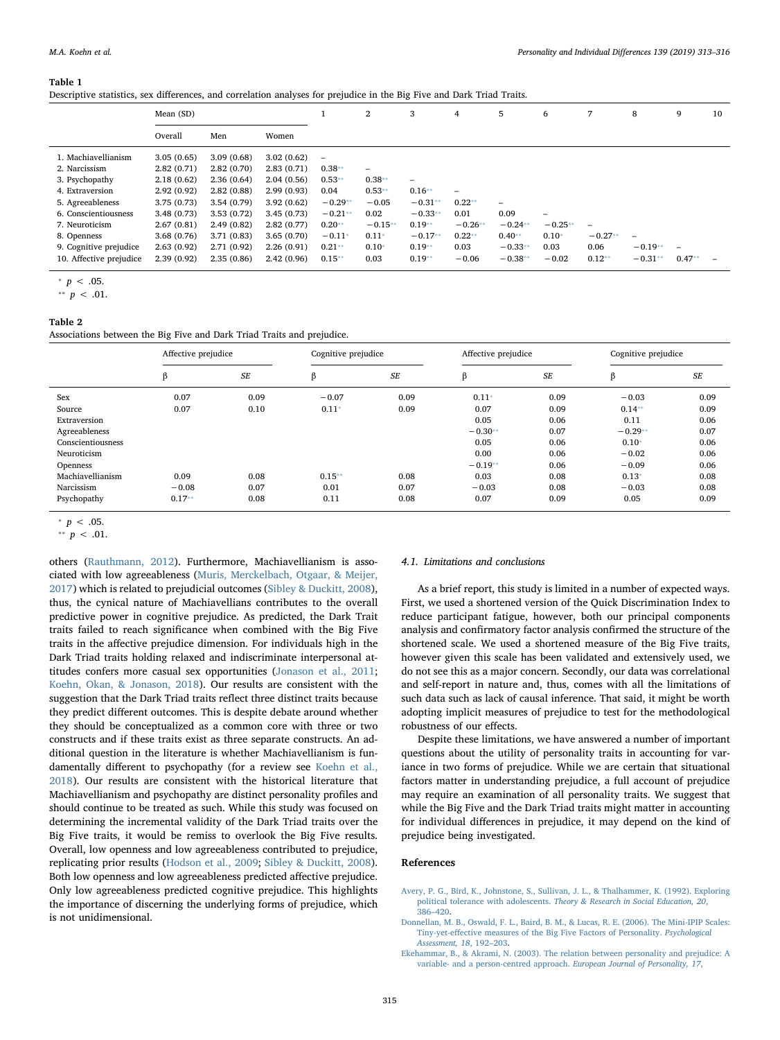#### <span id="page-2-3"></span>Table 1

|  |  |  | Descriptive statistics, sex differences, and correlation analyses for prejudice in the Big Five and Dark Triad Traits. |
|--|--|--|------------------------------------------------------------------------------------------------------------------------|
|  |  |  |                                                                                                                        |

|                         | Mean (SD)  |             |            |                          | $\overline{2}$ | 3                        | 4                        | 5                        | 6         |                          | 8                        | 9                        | 10 |
|-------------------------|------------|-------------|------------|--------------------------|----------------|--------------------------|--------------------------|--------------------------|-----------|--------------------------|--------------------------|--------------------------|----|
|                         | Overall    | Men         | Women      |                          |                |                          |                          |                          |           |                          |                          |                          |    |
| 1. Machiavellianism     | 3.05(0.65) | 3.09(0.68)  | 3.02(0.62) | $\overline{\phantom{m}}$ |                |                          |                          |                          |           |                          |                          |                          |    |
| 2. Narcissism           | 2.82(0.71) | 2.82(0.70)  | 2.83(0.71) | $0.38**$                 | -              |                          |                          |                          |           |                          |                          |                          |    |
| 3. Psychopathy          | 2.18(0.62) | 2.36(0.64)  | 2.04(0.56) | $0.53**$                 | $0.38**$       | $\overline{\phantom{a}}$ |                          |                          |           |                          |                          |                          |    |
| 4. Extraversion         | 2.92(0.92) | 2.82(0.88)  | 2.99(0.93) | 0.04                     | $0.53**$       | $0.16**$                 | $\overline{\phantom{0}}$ |                          |           |                          |                          |                          |    |
| 5. Agreeableness        | 3.75(0.73) | 3.54(0.79)  | 3.92(0.62) | $-0.29**$                | $-0.05$        | $-0.31**$                | $0.22**$                 | $\overline{\phantom{0}}$ |           |                          |                          |                          |    |
| 6. Conscientiousness    | 3.48(0.73) | 3.53(0.72)  | 3.45(0.73) | $-0.21**$                | 0.02           | $-0.33**$                | 0.01                     | 0.09                     |           |                          |                          |                          |    |
| 7. Neuroticism          | 2.67(0.81) | 2.49(0.82)  | 2.82(0.77) | $0.20**$                 | $-0.15**$      | $0.19**$                 | $-0.26**$                | $-0.24**$                | $-0.25**$ | $\overline{\phantom{0}}$ |                          |                          |    |
| 8. Openness             | 3.68(0.76) | 3.71 (0.83) | 3.65(0.70) | $-0.11*$                 | $0.11*$        | $-0.17**$                | $0.22**$                 | $0.40**$                 | $0.10*$   | $-0.27**$                | $\overline{\phantom{a}}$ |                          |    |
| 9. Cognitive prejudice  | 2.63(0.92) | 2.71(0.92)  | 2.26(0.91) | $0.21**$                 | $0.10*$        | $0.19**$                 | 0.03                     | $-0.33**$                | 0.03      | 0.06                     | $-0.19**$                | $\overline{\phantom{0}}$ |    |
| 10. Affective prejudice | 2.39(0.92) | 2.35(0.86)  | 2.42(0.96) | $0.15**$                 | 0.03           | $0.19**$                 | $-0.06$                  | $-0.38**$                | $-0.02$   | $0.12**$                 | $-0.31**$                | $0.47**$                 |    |

<span id="page-2-6"></span> $p < .05$ .

<span id="page-2-5"></span><sup>∗</sup>*∗ p* < .01.

### <span id="page-2-4"></span>Table 2

Associations between the Big Five and Dark Triad Traits and prejudice.

|                   | Affective prejudice |           | Cognitive prejudice |      | Affective prejudice |           | Cognitive prejudice |      |  |
|-------------------|---------------------|-----------|---------------------|------|---------------------|-----------|---------------------|------|--|
|                   | β                   | <b>SE</b> | ß                   | SE   | β                   | <b>SE</b> | β                   | SE   |  |
| Sex               | 0.07                | 0.09      | $-0.07$             | 0.09 | $0.11*$             | 0.09      | $-0.03$             | 0.09 |  |
| Source            | 0.07                | 0.10      | $0.11*$             | 0.09 | 0.07                | 0.09      | $0.14**$            | 0.09 |  |
| Extraversion      |                     |           |                     |      | 0.05                | 0.06      | 0.11                | 0.06 |  |
| Agreeableness     |                     |           |                     |      | $-0.30**$           | 0.07      | $-0.29**$           | 0.07 |  |
| Conscientiousness |                     |           |                     |      | 0.05                | 0.06      | $0.10*$             | 0.06 |  |
| Neuroticism       |                     |           |                     |      | 0.00                | 0.06      | $-0.02$             | 0.06 |  |
| <b>Openness</b>   |                     |           |                     |      | $-0.19**$           | 0.06      | $-0.09$             | 0.06 |  |
| Machiavellianism  | 0.09                | 0.08      | $0.15**$            | 0.08 | 0.03                | 0.08      | $0.13*$             | 0.08 |  |
| Narcissism        | $-0.08$             | 0.07      | 0.01                | 0.07 | $-0.03$             | 0.08      | $-0.03$             | 0.08 |  |
| Psychopathy       | $0.17**$            | 0.08      | 0.11                | 0.08 | 0.07                | 0.09      | 0.05                | 0.09 |  |

<span id="page-2-7"></span><sup>\*</sup>  $p$  < .05.

others [\(Rauthmann, 2012](#page-3-13)). Furthermore, Machiavellianism is associated with low agreeableness ([Muris, Merckelbach, Otgaar, & Meijer,](#page-3-14) [2017\)](#page-3-14) which is related to prejudicial outcomes ([Sibley & Duckitt, 2008](#page-3-8)), thus, the cynical nature of Machiavellians contributes to the overall predictive power in cognitive prejudice. As predicted, the Dark Trait traits failed to reach significance when combined with the Big Five traits in the affective prejudice dimension. For individuals high in the Dark Triad traits holding relaxed and indiscriminate interpersonal attitudes confers more casual sex opportunities ([Jonason et al., 2011](#page-3-10); [Koehn, Okan, & Jonason, 2018](#page-3-15)). Our results are consistent with the suggestion that the Dark Triad traits reflect three distinct traits because they predict different outcomes. This is despite debate around whether they should be conceptualized as a common core with three or two constructs and if these traits exist as three separate constructs. An additional question in the literature is whether Machiavellianism is fundamentally different to psychopathy (for a review see [Koehn et al.,](#page-3-15) [2018\)](#page-3-15). Our results are consistent with the historical literature that Machiavellianism and psychopathy are distinct personality profiles and should continue to be treated as such. While this study was focused on determining the incremental validity of the Dark Triad traits over the Big Five traits, it would be remiss to overlook the Big Five results. Overall, low openness and low agreeableness contributed to prejudice, replicating prior results ([Hodson et al., 2009](#page-3-4); [Sibley & Duckitt, 2008](#page-3-8)). Both low openness and low agreeableness predicted affective prejudice. Only low agreeableness predicted cognitive prejudice. This highlights the importance of discerning the underlying forms of prejudice, which is not unidimensional.

#### 4.1. Limitations and conclusions

As a brief report, this study is limited in a number of expected ways. First, we used a shortened version of the Quick Discrimination Index to reduce participant fatigue, however, both our principal components analysis and confirmatory factor analysis confirmed the structure of the shortened scale. We used a shortened measure of the Big Five traits, however given this scale has been validated and extensively used, we do not see this as a major concern. Secondly, our data was correlational and self-report in nature and, thus, comes with all the limitations of such data such as lack of causal inference. That said, it might be worth adopting implicit measures of prejudice to test for the methodological robustness of our effects.

Despite these limitations, we have answered a number of important questions about the utility of personality traits in accounting for variance in two forms of prejudice. While we are certain that situational factors matter in understanding prejudice, a full account of prejudice may require an examination of all personality traits. We suggest that while the Big Five and the Dark Triad traits might matter in accounting for individual differences in prejudice, it may depend on the kind of prejudice being investigated.

#### References

- <span id="page-2-0"></span>[Avery, P. G., Bird, K., Johnstone, S., Sullivan, J. L., & Thalhammer, K. \(1992\). Exploring](http://refhub.elsevier.com/S0191-8869(18)30634-2/rf0005) political tolerance with adolescents. [Theory & Research in Social Education, 20](http://refhub.elsevier.com/S0191-8869(18)30634-2/rf0005), 386–[420](http://refhub.elsevier.com/S0191-8869(18)30634-2/rf0005).
- <span id="page-2-2"></span>[Donnellan, M. B., Oswald, F. L., Baird, B. M., & Lucas, R. E. \(2006\). The Mini-IPIP Scales:](http://refhub.elsevier.com/S0191-8869(18)30634-2/rf0010) Tiny-yet-eff[ective measures of the Big Five Factors of Personality.](http://refhub.elsevier.com/S0191-8869(18)30634-2/rf0010) Psychological [Assessment, 18](http://refhub.elsevier.com/S0191-8869(18)30634-2/rf0010), 192–203.
- <span id="page-2-1"></span>[Ekehammar, B., & Akrami, N. \(2003\). The relation between personality and prejudice: A](http://refhub.elsevier.com/S0191-8869(18)30634-2/rf0015) [variable- and a person-centred approach.](http://refhub.elsevier.com/S0191-8869(18)30634-2/rf0015) European Journal of Personality, 17,

<span id="page-2-8"></span><sup>\*\*</sup>  $p < .01$ .